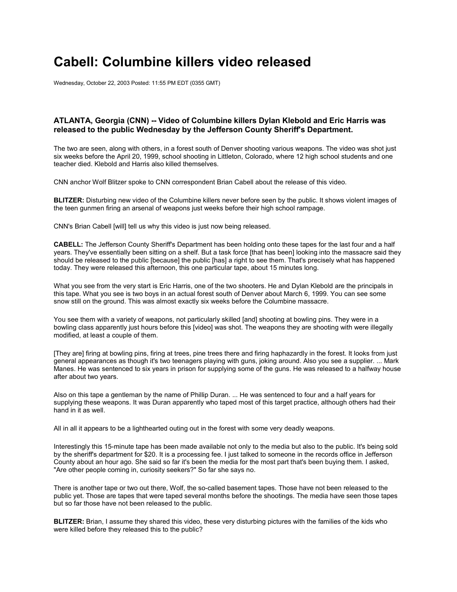## **Cabell: Columbine killers video released**

Wednesday, October 22, 2003 Posted: 11:55 PM EDT (0355 GMT)

## **ATLANTA, Georgia (CNN) -- Video of Columbine killers Dylan Klebold and Eric Harris was released to the public Wednesday by the Jefferson County Sheriff's Department.**

The two are seen, along with others, in a forest south of Denver shooting various weapons. The video was shot just six weeks before the April 20, 1999, school shooting in Littleton, Colorado, where 12 high school students and one teacher died. Klebold and Harris also killed themselves.

CNN anchor Wolf Blitzer spoke to CNN correspondent Brian Cabell about the release of this video.

**BLITZER:** Disturbing new video of the Columbine killers never before seen by the public. It shows violent images of the teen gunmen firing an arsenal of weapons just weeks before their high school rampage.

CNN's Brian Cabell [will] tell us why this video is just now being released.

**CABELL:** The Jefferson County Sheriff's Department has been holding onto these tapes for the last four and a half years. They've essentially been sitting on a shelf. But a task force [that has been] looking into the massacre said they should be released to the public [because] the public [has] a right to see them. That's precisely what has happened today. They were released this afternoon, this one particular tape, about 15 minutes long.

What you see from the very start is Eric Harris, one of the two shooters. He and Dylan Klebold are the principals in this tape. What you see is two boys in an actual forest south of Denver about March 6, 1999. You can see some snow still on the ground. This was almost exactly six weeks before the Columbine massacre.

You see them with a variety of weapons, not particularly skilled [and] shooting at bowling pins. They were in a bowling class apparently just hours before this [video] was shot. The weapons they are shooting with were illegally modified, at least a couple of them.

[They are] firing at bowling pins, firing at trees, pine trees there and firing haphazardly in the forest. It looks from just general appearances as though it's two teenagers playing with guns, joking around. Also you see a supplier. ... Mark Manes. He was sentenced to six years in prison for supplying some of the guns. He was released to a halfway house after about two years.

Also on this tape a gentleman by the name of Phillip Duran. ... He was sentenced to four and a half years for supplying these weapons. It was Duran apparently who taped most of this target practice, although others had their hand in it as well.

All in all it appears to be a lighthearted outing out in the forest with some very deadly weapons.

Interestingly this 15-minute tape has been made available not only to the media but also to the public. It's being sold by the sheriff's department for \$20. It is a processing fee. I just talked to someone in the records office in Jefferson County about an hour ago. She said so far it's been the media for the most part that's been buying them. I asked, "Are other people coming in, curiosity seekers?" So far she says no.

There is another tape or two out there, Wolf, the so-called basement tapes. Those have not been released to the public yet. Those are tapes that were taped several months before the shootings. The media have seen those tapes but so far those have not been released to the public.

**BLITZER:** Brian, I assume they shared this video, these very disturbing pictures with the families of the kids who were killed before they released this to the public?